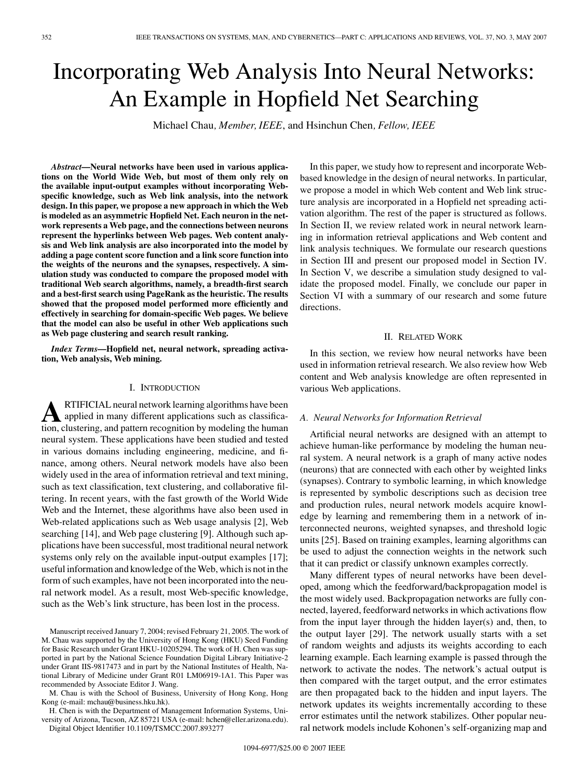# Incorporating Web Analysis Into Neural Networks: An Example in Hopfield Net Searching

Michael Chau*, Member, IEEE*, and Hsinchun Chen*, Fellow, IEEE*

*Abstract***—Neural networks have been used in various applications on the World Wide Web, but most of them only rely on the available input-output examples without incorporating Webspecific knowledge, such as Web link analysis, into the network design. In this paper, we propose a new approach in which the Web is modeled as an asymmetric Hopfield Net. Each neuron in the network represents a Web page, and the connections between neurons represent the hyperlinks between Web pages. Web content analysis and Web link analysis are also incorporated into the model by adding a page content score function and a link score function into the weights of the neurons and the synapses, respectively. A simulation study was conducted to compare the proposed model with traditional Web search algorithms, namely, a breadth-first search and a best-first search using PageRank as the heuristic. The results showed that the proposed model performed more efficiently and effectively in searching for domain-specific Web pages. We believe that the model can also be useful in other Web applications such as Web page clustering and search result ranking.**

*Index Terms***—Hopfield net, neural network, spreading activation, Web analysis, Web mining.**

# I. INTRODUCTION

**A**RTIFICIAL neural network learning algorithms have been<br>applied in many different applications such as classifica-<br>tion clustering, and pattern recognition by modeling the human tion, clustering, and pattern recognition by modeling the human neural system. These applications have been studied and tested in various domains including engineering, medicine, and finance, among others. Neural network models have also been widely used in the area of information retrieval and text mining, such as text classification, text clustering, and collaborative filtering. In recent years, with the fast growth of the World Wide Web and the Internet, these algorithms have also been used in Web-related applications such as Web usage analysis [2], Web searching [14], and Web page clustering [9]. Although such applications have been successful, most traditional neural network systems only rely on the available input-output examples [17]; useful information and knowledge of the Web, which is not in the form of such examples, have not been incorporated into the neural network model. As a result, most Web-specific knowledge, such as the Web's link structure, has been lost in the process.

M. Chau is with the School of Business, University of Hong Kong, Hong Kong (e-mail: mchau@business.hku.hk).

H. Chen is with the Department of Management Information Systems, University of Arizona, Tucson, AZ 85721 USA (e-mail: hchen@eller.arizona.edu). Digital Object Identifier 10.1109/TSMCC.2007.893277

In this paper, we study how to represent and incorporate Webbased knowledge in the design of neural networks. In particular, we propose a model in which Web content and Web link structure analysis are incorporated in a Hopfield net spreading activation algorithm. The rest of the paper is structured as follows. In Section II, we review related work in neural network learning in information retrieval applications and Web content and link analysis techniques. We formulate our research questions in Section III and present our proposed model in Section IV. In Section V, we describe a simulation study designed to validate the proposed model. Finally, we conclude our paper in Section VI with a summary of our research and some future directions.

### II. RELATED WORK

In this section, we review how neural networks have been used in information retrieval research. We also review how Web content and Web analysis knowledge are often represented in various Web applications.

## *A. Neural Networks for Information Retrieval*

Artificial neural networks are designed with an attempt to achieve human-like performance by modeling the human neural system. A neural network is a graph of many active nodes (neurons) that are connected with each other by weighted links (synapses). Contrary to symbolic learning, in which knowledge is represented by symbolic descriptions such as decision tree and production rules, neural network models acquire knowledge by learning and remembering them in a network of interconnected neurons, weighted synapses, and threshold logic units [25]. Based on training examples, learning algorithms can be used to adjust the connection weights in the network such that it can predict or classify unknown examples correctly.

Many different types of neural networks have been developed, among which the feedforward/backpropagation model is the most widely used. Backpropagation networks are fully connected, layered, feedforward networks in which activations flow from the input layer through the hidden layer(s) and, then, to the output layer [29]. The network usually starts with a set of random weights and adjusts its weights according to each learning example. Each learning example is passed through the network to activate the nodes. The network's actual output is then compared with the target output, and the error estimates are then propagated back to the hidden and input layers. The network updates its weights incrementally according to these error estimates until the network stabilizes. Other popular neural network models include Kohonen's self-organizing map and

Manuscript received January 7, 2004; revised February 21, 2005. The work of M. Chau was supported by the University of Hong Kong (HKU) Seed Funding for Basic Research under Grant HKU-10205294. The work of H. Chen was supported in part by the National Science Foundation Digital Library Initiative-2 under Grant IIS-9817473 and in part by the National Institutes of Health, National Library of Medicine under Grant R01 LM06919-1A1. This Paper was recommended by Associate Editor J. Wang.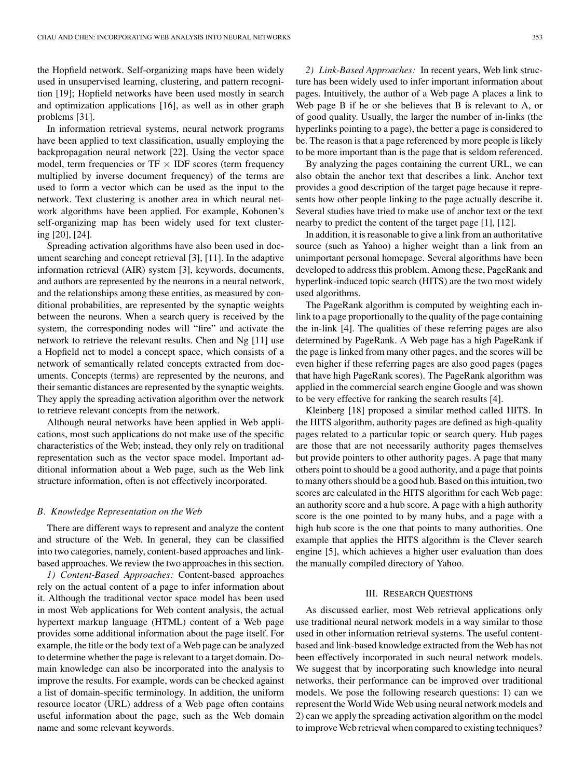the Hopfield network. Self-organizing maps have been widely used in unsupervised learning, clustering, and pattern recognition [19]; Hopfield networks have been used mostly in search and optimization applications [16], as well as in other graph problems [31].

In information retrieval systems, neural network programs have been applied to text classification, usually employing the backpropagation neural network [22]. Using the vector space model, term frequencies or  $TF \times IDF$  scores (term frequency multiplied by inverse document frequency) of the terms are used to form a vector which can be used as the input to the network. Text clustering is another area in which neural network algorithms have been applied. For example, Kohonen's self-organizing map has been widely used for text clustering [20], [24].

Spreading activation algorithms have also been used in document searching and concept retrieval [3], [11]. In the adaptive information retrieval (AIR) system [3], keywords, documents, and authors are represented by the neurons in a neural network, and the relationships among these entities, as measured by conditional probabilities, are represented by the synaptic weights between the neurons. When a search query is received by the system, the corresponding nodes will "fire" and activate the network to retrieve the relevant results. Chen and Ng [11] use a Hopfield net to model a concept space, which consists of a network of semantically related concepts extracted from documents. Concepts (terms) are represented by the neurons, and their semantic distances are represented by the synaptic weights. They apply the spreading activation algorithm over the network to retrieve relevant concepts from the network.

Although neural networks have been applied in Web applications, most such applications do not make use of the specific characteristics of the Web; instead, they only rely on traditional representation such as the vector space model. Important additional information about a Web page, such as the Web link structure information, often is not effectively incorporated.

## *B. Knowledge Representation on the Web*

There are different ways to represent and analyze the content and structure of the Web. In general, they can be classified into two categories, namely, content-based approaches and linkbased approaches. We review the two approaches in this section.

*1) Content-Based Approaches:* Content-based approaches rely on the actual content of a page to infer information about it. Although the traditional vector space model has been used in most Web applications for Web content analysis, the actual hypertext markup language (HTML) content of a Web page provides some additional information about the page itself. For example, the title or the body text of a Web page can be analyzed to determine whether the page is relevant to a target domain. Domain knowledge can also be incorporated into the analysis to improve the results. For example, words can be checked against a list of domain-specific terminology. In addition, the uniform resource locator (URL) address of a Web page often contains useful information about the page, such as the Web domain name and some relevant keywords.

*2) Link-Based Approaches:* In recent years, Web link structure has been widely used to infer important information about pages. Intuitively, the author of a Web page A places a link to Web page B if he or she believes that B is relevant to A, or of good quality. Usually, the larger the number of in-links (the hyperlinks pointing to a page), the better a page is considered to be. The reason is that a page referenced by more people is likely to be more important than is the page that is seldom referenced.

By analyzing the pages containing the current URL, we can also obtain the anchor text that describes a link. Anchor text provides a good description of the target page because it represents how other people linking to the page actually describe it. Several studies have tried to make use of anchor text or the text nearby to predict the content of the target page [1], [12].

In addition, it is reasonable to give a link from an authoritative source (such as Yahoo) a higher weight than a link from an unimportant personal homepage. Several algorithms have been developed to address this problem. Among these, PageRank and hyperlink-induced topic search (HITS) are the two most widely used algorithms.

The PageRank algorithm is computed by weighting each inlink to a page proportionally to the quality of the page containing the in-link [4]. The qualities of these referring pages are also determined by PageRank. A Web page has a high PageRank if the page is linked from many other pages, and the scores will be even higher if these referring pages are also good pages (pages that have high PageRank scores). The PageRank algorithm was applied in the commercial search engine Google and was shown to be very effective for ranking the search results [4].

Kleinberg [18] proposed a similar method called HITS. In the HITS algorithm, authority pages are defined as high-quality pages related to a particular topic or search query. Hub pages are those that are not necessarily authority pages themselves but provide pointers to other authority pages. A page that many others point to should be a good authority, and a page that points to many others should be a good hub. Based on this intuition, two scores are calculated in the HITS algorithm for each Web page: an authority score and a hub score. A page with a high authority score is the one pointed to by many hubs, and a page with a high hub score is the one that points to many authorities. One example that applies the HITS algorithm is the Clever search engine [5], which achieves a higher user evaluation than does the manually compiled directory of Yahoo.

# III. RESEARCH QUESTIONS

As discussed earlier, most Web retrieval applications only use traditional neural network models in a way similar to those used in other information retrieval systems. The useful contentbased and link-based knowledge extracted from the Web has not been effectively incorporated in such neural network models. We suggest that by incorporating such knowledge into neural networks, their performance can be improved over traditional models. We pose the following research questions: 1) can we represent the World Wide Web using neural network models and 2) can we apply the spreading activation algorithm on the model to improve Web retrieval when compared to existing techniques?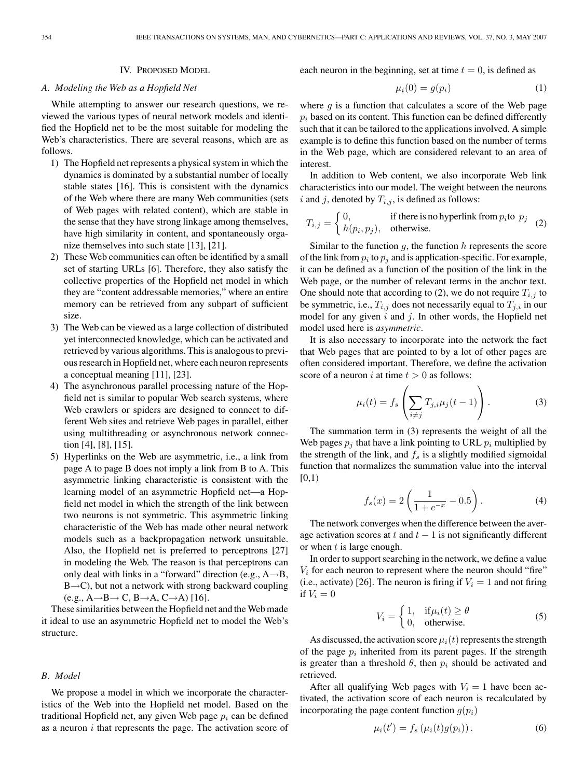## IV. PROPOSED MODEL

each neuron in the beginning, set at time  $t = 0$ , is defined as

# *A. Modeling the Web as a Hopfield Net*

While attempting to answer our research questions, we reviewed the various types of neural network models and identified the Hopfield net to be the most suitable for modeling the Web's characteristics. There are several reasons, which are as follows.

- 1) The Hopfield net represents a physical system in which the dynamics is dominated by a substantial number of locally stable states [16]. This is consistent with the dynamics of the Web where there are many Web communities (sets of Web pages with related content), which are stable in the sense that they have strong linkage among themselves, have high similarity in content, and spontaneously organize themselves into such state [13], [21].
- 2) These Web communities can often be identified by a small set of starting URLs [6]. Therefore, they also satisfy the collective properties of the Hopfield net model in which they are "content addressable memories," where an entire memory can be retrieved from any subpart of sufficient size.
- 3) The Web can be viewed as a large collection of distributed yet interconnected knowledge, which can be activated and retrieved by various algorithms. This is analogous to previous research in Hopfield net, where each neuron represents a conceptual meaning [11], [23].
- 4) The asynchronous parallel processing nature of the Hopfield net is similar to popular Web search systems, where Web crawlers or spiders are designed to connect to different Web sites and retrieve Web pages in parallel, either using multithreading or asynchronous network connection [4], [8], [15].
- 5) Hyperlinks on the Web are asymmetric, i.e., a link from page A to page B does not imply a link from B to A. This asymmetric linking characteristic is consistent with the learning model of an asymmetric Hopfield net—a Hopfield net model in which the strength of the link between two neurons is not symmetric. This asymmetric linking characteristic of the Web has made other neural network models such as a backpropagation network unsuitable. Also, the Hopfield net is preferred to perceptrons [27] in modeling the Web. The reason is that perceptrons can only deal with links in a "forward" direction (e.g.,  $A \rightarrow B$ ,  $B\rightarrow C$ ), but not a network with strong backward coupling  $(e.g., A \rightarrow B \rightarrow C, B \rightarrow A, C \rightarrow A)$  [16].

These similarities between the Hopfield net and the Web made it ideal to use an asymmetric Hopfield net to model the Web's structure.

## *B. Model*

We propose a model in which we incorporate the characteristics of the Web into the Hopfield net model. Based on the traditional Hopfield net, any given Web page  $p_i$  can be defined as a neuron  $i$  that represents the page. The activation score of

$$
\mu_i(0) = g(p_i) \tag{1}
$$

where  $g$  is a function that calculates a score of the Web page  $p_i$  based on its content. This function can be defined differently such that it can be tailored to the applications involved. A simple example is to define this function based on the number of terms in the Web page, which are considered relevant to an area of interest.

In addition to Web content, we also incorporate Web link characteristics into our model. The weight between the neurons i and j, denoted by  $T_{i,j}$ , is defined as follows:

$$
T_{i,j} = \begin{cases} 0, & \text{if there is no hyperlink from } p_i \text{ to } p_j \\ h(p_i, p_j), & \text{otherwise.} \end{cases} \tag{2}
$$

Similar to the function  $g$ , the function  $h$  represents the score of the link from  $p_i$  to  $p_j$  and is application-specific. For example, it can be defined as a function of the position of the link in the Web page, or the number of relevant terms in the anchor text. One should note that according to (2), we do not require  $T_{i,j}$  to be symmetric, i.e.,  $T_{i,j}$  does not necessarily equal to  $T_{j,i}$  in our model for any given  $i$  and  $j$ . In other words, the Hopfield net model used here is *asymmetric*.

It is also necessary to incorporate into the network the fact that Web pages that are pointed to by a lot of other pages are often considered important. Therefore, we define the activation score of a neuron i at time  $t > 0$  as follows:

$$
\mu_i(t) = f_s \left( \sum_{i \neq j} T_{j,i} \mu_j(t-1) \right). \tag{3}
$$

The summation term in (3) represents the weight of all the Web pages  $p_j$  that have a link pointing to URL  $p_i$  multiplied by the strength of the link, and  $f_s$  is a slightly modified sigmoidal function that normalizes the summation value into the interval  $[0,1)$ 

$$
f_s(x) = 2\left(\frac{1}{1 + e^{-x}} - 0.5\right). \tag{4}
$$

The network converges when the difference between the average activation scores at t and  $t - 1$  is not significantly different or when  $t$  is large enough.

In order to support searching in the network, we define a value  $V_i$  for each neuron to represent where the neuron should "fire" (i.e., activate) [26]. The neuron is firing if  $V_i = 1$  and not firing if  $V_i = 0$ 

$$
V_i = \begin{cases} 1, & \text{if } \mu_i(t) \ge \theta \\ 0, & \text{otherwise.} \end{cases}
$$
 (5)

As discussed, the activation score  $\mu_i(t)$  represents the strength of the page  $p_i$  inherited from its parent pages. If the strength is greater than a threshold  $\theta$ , then  $p_i$  should be activated and retrieved.

After all qualifying Web pages with  $V_i = 1$  have been activated, the activation score of each neuron is recalculated by incorporating the page content function  $q(p_i)$ 

$$
\mu_i(t') = f_s\left(\mu_i(t)g(p_i)\right). \tag{6}
$$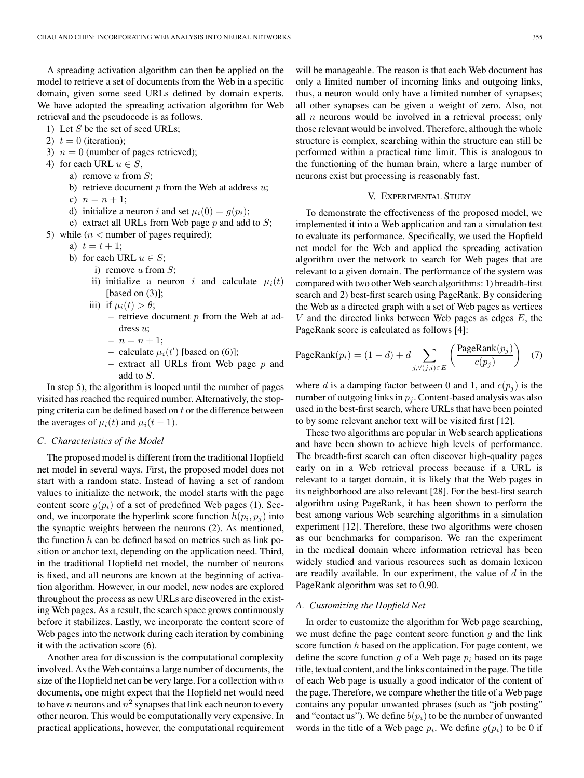A spreading activation algorithm can then be applied on the model to retrieve a set of documents from the Web in a specific domain, given some seed URLs defined by domain experts. We have adopted the spreading activation algorithm for Web retrieval and the pseudocode is as follows.

- 1) Let  $S$  be the set of seed URLs;
- 2)  $t = 0$  (iteration);
- 3)  $n = 0$  (number of pages retrieved);
- 4) for each URL  $u \in S$ ,
	- a) remove u from  $S$ ;
		- b) retrieve document  $p$  from the Web at address  $u$ ;
		- c)  $n = n + 1$ ;
		- d) initialize a neuron i and set  $\mu_i(0) = g(p_i)$ ;
- e) extract all URLs from Web page  $p$  and add to  $S$ ;
- 5) while  $(n <$  number of pages required);
	- a)  $t = t + 1$ ;
	- b) for each URL  $u \in S$ ;
		- i) remove  $u$  from  $S$ ;
		- ii) initialize a neuron i and calculate  $\mu_i(t)$ [based on (3)];
		- iii) if  $\mu_i(t) > \theta$ ;
			- retrieve document  $p$  from the Web at address u;
			- $n = n + 1;$
			- calculate  $\mu_i(t')$  [based on (6)];
			- extract all URLs from Web page  $p$  and add to S.

In step 5), the algorithm is looped until the number of pages visited has reached the required number. Alternatively, the stopping criteria can be defined based on  $t$  or the difference between the averages of  $\mu_i(t)$  and  $\mu_i(t-1)$ .

# *C. Characteristics of the Model*

The proposed model is different from the traditional Hopfield net model in several ways. First, the proposed model does not start with a random state. Instead of having a set of random values to initialize the network, the model starts with the page content score  $q(p_i)$  of a set of predefined Web pages (1). Second, we incorporate the hyperlink score function  $h(p_i, p_j)$  into the synaptic weights between the neurons (2). As mentioned, the function  $h$  can be defined based on metrics such as link position or anchor text, depending on the application need. Third, in the traditional Hopfield net model, the number of neurons is fixed, and all neurons are known at the beginning of activation algorithm. However, in our model, new nodes are explored throughout the process as new URLs are discovered in the existing Web pages. As a result, the search space grows continuously before it stabilizes. Lastly, we incorporate the content score of Web pages into the network during each iteration by combining it with the activation score (6).

Another area for discussion is the computational complexity involved. As the Web contains a large number of documents, the size of the Hopfield net can be very large. For a collection with  $n$ documents, one might expect that the Hopfield net would need to have n neurons and  $n^2$  synapses that link each neuron to every other neuron. This would be computationally very expensive. In practical applications, however, the computational requirement will be manageable. The reason is that each Web document has only a limited number of incoming links and outgoing links, thus, a neuron would only have a limited number of synapses; all other synapses can be given a weight of zero. Also, not all  $n$  neurons would be involved in a retrieval process; only those relevant would be involved. Therefore, although the whole structure is complex, searching within the structure can still be performed within a practical time limit. This is analogous to the functioning of the human brain, where a large number of neurons exist but processing is reasonably fast.

## V. EXPERIMENTAL STUDY

To demonstrate the effectiveness of the proposed model, we implemented it into a Web application and ran a simulation test to evaluate its performance. Specifically, we used the Hopfield net model for the Web and applied the spreading activation algorithm over the network to search for Web pages that are relevant to a given domain. The performance of the system was compared with two other Web search algorithms: 1) breadth-first search and 2) best-first search using PageRank. By considering the Web as a directed graph with a set of Web pages as vertices V and the directed links between Web pages as edges  $E$ , the PageRank score is calculated as follows [4]:

PageRank
$$
(p_i)
$$
 =  $(1-d) + d \sum_{j, \forall (j,i) \in E} \left( \frac{\text{PageRank}(p_j)}{c(p_j)} \right)$  (7)

where d is a damping factor between 0 and 1, and  $c(p_i)$  is the number of outgoing links in  $p_i$ . Content-based analysis was also used in the best-first search, where URLs that have been pointed to by some relevant anchor text will be visited first [12].

These two algorithms are popular in Web search applications and have been shown to achieve high levels of performance. The breadth-first search can often discover high-quality pages early on in a Web retrieval process because if a URL is relevant to a target domain, it is likely that the Web pages in its neighborhood are also relevant [28]. For the best-first search algorithm using PageRank, it has been shown to perform the best among various Web searching algorithms in a simulation experiment [12]. Therefore, these two algorithms were chosen as our benchmarks for comparison. We ran the experiment in the medical domain where information retrieval has been widely studied and various resources such as domain lexicon are readily available. In our experiment, the value of  $d$  in the PageRank algorithm was set to 0.90.

# *A. Customizing the Hopfield Net*

In order to customize the algorithm for Web page searching, we must define the page content score function  $g$  and the link score function  $h$  based on the application. For page content, we define the score function  $g$  of a Web page  $p_i$  based on its page title, textual content, and the links contained in the page. The title of each Web page is usually a good indicator of the content of the page. Therefore, we compare whether the title of a Web page contains any popular unwanted phrases (such as "job posting" and "contact us"). We define  $b(p_i)$  to be the number of unwanted words in the title of a Web page  $p_i$ . We define  $g(p_i)$  to be 0 if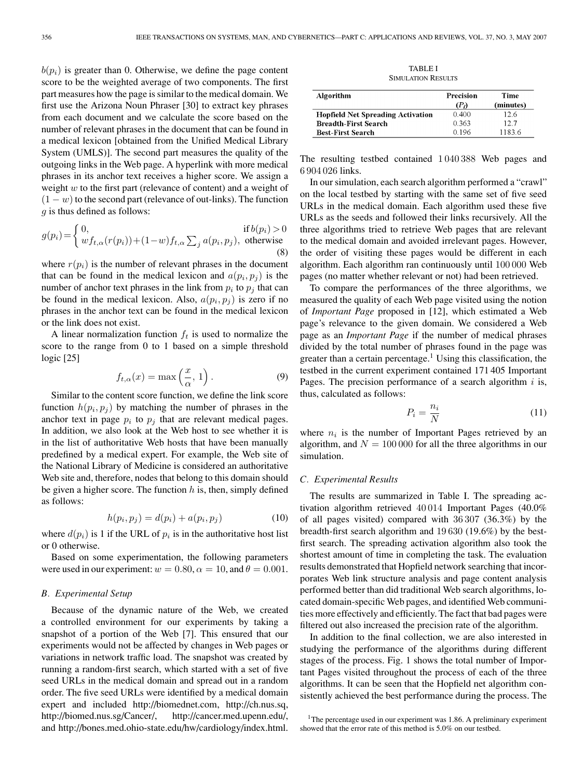$b(p_i)$  is greater than 0. Otherwise, we define the page content score to be the weighted average of two components. The first part measures how the page is similar to the medical domain. We first use the Arizona Noun Phraser [30] to extract key phrases from each document and we calculate the score based on the number of relevant phrases in the document that can be found in a medical lexicon [obtained from the Unified Medical Library System (UMLS)]. The second part measures the quality of the outgoing links in the Web page. A hyperlink with more medical phrases in its anchor text receives a higher score. We assign a weight  $w$  to the first part (relevance of content) and a weight of  $(1 - w)$  to the second part (relevance of out-links). The function g is thus defined as follows:

$$
g(p_i) = \begin{cases} 0, & \text{if } b(p_i) > 0\\ wf_{t,\alpha}(r(p_i)) + (1-w)f_{t,\alpha} \sum_j a(p_i, p_j), & \text{otherwise} \end{cases}
$$
(8)

where  $r(p_i)$  is the number of relevant phrases in the document that can be found in the medical lexicon and  $a(p_i, p_j)$  is the number of anchor text phrases in the link from  $p_i$  to  $p_j$  that can be found in the medical lexicon. Also,  $a(p_i, p_j)$  is zero if no phrases in the anchor text can be found in the medical lexicon or the link does not exist.

A linear normalization function  $f_t$  is used to normalize the score to the range from 0 to 1 based on a simple threshold logic [25]

$$
f_{t,\alpha}(x) = \max\left(\frac{x}{\alpha}, 1\right). \tag{9}
$$

Similar to the content score function, we define the link score function  $h(p_i, p_j)$  by matching the number of phrases in the anchor text in page  $p_i$  to  $p_j$  that are relevant medical pages. In addition, we also look at the Web host to see whether it is in the list of authoritative Web hosts that have been manually predefined by a medical expert. For example, the Web site of the National Library of Medicine is considered an authoritative Web site and, therefore, nodes that belong to this domain should be given a higher score. The function  $h$  is, then, simply defined as follows:

$$
h(p_i, p_j) = d(p_i) + a(p_i, p_j)
$$
 (10)

where  $d(p_i)$  is 1 if the URL of  $p_i$  is in the authoritative host list or 0 otherwise.

Based on some experimentation, the following parameters were used in our experiment:  $w = 0.80$ ,  $\alpha = 10$ , and  $\theta = 0.001$ .

# *B. Experimental Setup*

Because of the dynamic nature of the Web, we created a controlled environment for our experiments by taking a snapshot of a portion of the Web [7]. This ensured that our experiments would not be affected by changes in Web pages or variations in network traffic load. The snapshot was created by running a random-first search, which started with a set of five seed URLs in the medical domain and spread out in a random order. The five seed URLs were identified by a medical domain expert and included http://biomednet.com, http://ch.nus.sq, http://biomed.nus.sg/Cancer/, http://cancer.med.upenn.edu/, and http://bones.med.ohio-state.edu/hw/cardiology/index.html.

TABLE I SIMULATION RESULTS

| Algorithm                                | Precision | Time      |
|------------------------------------------|-----------|-----------|
|                                          | (P)       | (minutes) |
| <b>Hopfield Net Spreading Activation</b> | 0.400     | 12.6      |
| <b>Breadth-First Search</b>              | 0.363     | 12.7      |
| <b>Best-First Search</b>                 | 0.196     | 1183.6    |

The resulting testbed contained 1 040 388 Web pages and 6 904 026 links.

In our simulation, each search algorithm performed a "crawl" on the local testbed by starting with the same set of five seed URLs in the medical domain. Each algorithm used these five URLs as the seeds and followed their links recursively. All the three algorithms tried to retrieve Web pages that are relevant to the medical domain and avoided irrelevant pages. However, the order of visiting these pages would be different in each algorithm. Each algorithm ran continuously until 100 000 Web pages (no matter whether relevant or not) had been retrieved.

To compare the performances of the three algorithms, we measured the quality of each Web page visited using the notion of *Important Page* proposed in [12], which estimated a Web page's relevance to the given domain. We considered a Web page as an *Important Page* if the number of medical phrases divided by the total number of phrases found in the page was greater than a certain percentage.<sup>1</sup> Using this classification, the testbed in the current experiment contained 171 405 Important Pages. The precision performance of a search algorithm  $i$  is, thus, calculated as follows:

$$
P_i = \frac{n_i}{N} \tag{11}
$$

where  $n_i$  is the number of Important Pages retrieved by an algorithm, and  $N = 100000$  for all the three algorithms in our simulation.

# *C. Experimental Results*

The results are summarized in Table I. The spreading activation algorithm retrieved 40 014 Important Pages (40.0% of all pages visited) compared with 36 307 (36.3%) by the breadth-first search algorithm and 19 630 (19.6%) by the bestfirst search. The spreading activation algorithm also took the shortest amount of time in completing the task. The evaluation results demonstrated that Hopfield network searching that incorporates Web link structure analysis and page content analysis performed better than did traditional Web search algorithms, located domain-specific Web pages, and identified Web communities more effectively and efficiently. The fact that bad pages were filtered out also increased the precision rate of the algorithm.

In addition to the final collection, we are also interested in studying the performance of the algorithms during different stages of the process. Fig. 1 shows the total number of Important Pages visited throughout the process of each of the three algorithms. It can be seen that the Hopfield net algorithm consistently achieved the best performance during the process. The

<sup>&</sup>lt;sup>1</sup>The percentage used in our experiment was 1.86. A preliminary experiment showed that the error rate of this method is 5.0% on our testbed.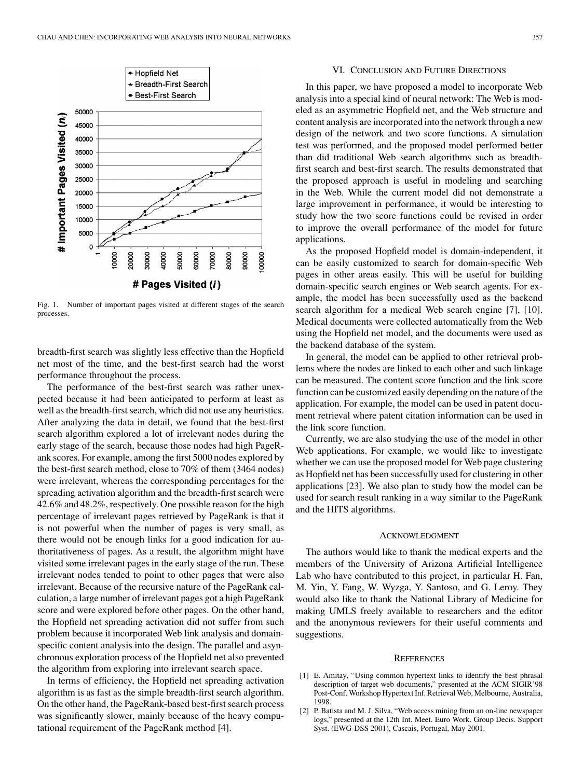

Fig. 1. Number of important pages visited at different stages of the search processes.

breadth-first search was slightly less effective than the Hopfield net most of the time, and the best-first search had the worst performance throughout the process.

The performance of the best-first search was rather unexpected because it had been anticipated to perform at least as well as the breadth-first search, which did not use any heuristics. After analyzing the data in detail, we found that the best-first search algorithm explored a lot of irrelevant nodes during the early stage of the search, because those nodes had high PageRank scores. For example, among the first 5000 nodes explored by the best-first search method, close to 70% of them (3464 nodes) were irrelevant, whereas the corresponding percentages for the spreading activation algorithm and the breadth-first search were 42.6% and 48.2%, respectively. One possible reason for the high percentage of irrelevant pages retrieved by PageRank is that it is not powerful when the number of pages is very small, as there would not be enough links for a good indication for authoritativeness of pages. As a result, the algorithm might have visited some irrelevant pages in the early stage of the run. These irrelevant nodes tended to point to other pages that were also irrelevant. Because of the recursive nature of the PageRank calculation, a large number of irrelevant pages got a high PageRank score and were explored before other pages. On the other hand, the Hopfield net spreading activation did not suffer from such problem because it incorporated Web link analysis and domainspecific content analysis into the design. The parallel and asynchronous exploration process of the Hopfield net also prevented the algorithm from exploring into irrelevant search space.

In terms of efficiency, the Hopfield net spreading activation algorithm is as fast as the simple breadth-first search algorithm. On the other hand, the PageRank-based best-first search process was significantly slower, mainly because of the heavy computational requirement of the PageRank method [4].

## VI. CONCLUSION AND FUTURE DIRECTIONS

In this paper, we have proposed a model to incorporate Web analysis into a special kind of neural network: The Web is modeled as an asymmetric Hopfield net, and the Web structure and content analysis are incorporated into the network through a new design of the network and two score functions. A simulation test was performed, and the proposed model performed better than did traditional Web search algorithms such as breadthfirst search and best-first search. The results demonstrated that the proposed approach is useful in modeling and searching in the Web. While the current model did not demonstrate a large improvement in performance, it would be interesting to study how the two score functions could be revised in order to improve the overall performance of the model for future applications.

As the proposed Hopfield model is domain-independent, it can be easily customized to search for domain-specific Web pages in other areas easily. This will be useful for building domain-specific search engines or Web search agents. For example, the model has been successfully used as the backend search algorithm for a medical Web search engine [7], [10]. Medical documents were collected automatically from the Web using the Hopfield net model, and the documents were used as the backend database of the system.

In general, the model can be applied to other retrieval problems where the nodes are linked to each other and such linkage can be measured. The content score function and the link score function can be customized easily depending on the nature of the application. For example, the model can be used in patent document retrieval where patent citation information can be used in the link score function.

Currently, we are also studying the use of the model in other Web applications. For example, we would like to investigate whether we can use the proposed model for Web page clustering as Hopfield net has been successfully used for clustering in other applications [23]. We also plan to study how the model can be used for search result ranking in a way similar to the PageRank and the HITS algorithms.

## ACKNOWLEDGMENT

The authors would like to thank the medical experts and the members of the University of Arizona Artificial Intelligence Lab who have contributed to this project, in particular H. Fan, M. Yin, Y. Fang, W. Wyzga, Y. Santoso, and G. Leroy. They would also like to thank the National Library of Medicine for making UMLS freely available to researchers and the editor and the anonymous reviewers for their useful comments and suggestions.

#### **REFERENCES**

- [1] E. Amitay, "Using common hypertext links to identify the best phrasal description of target web documents," presented at the ACM SIGIR'98 Post-Conf. Workshop Hypertext Inf. Retrieval Web, Melbourne, Australia, 1998.
- [2] P. Batista and M. J. Silva, "Web access mining from an on-line newspaper logs," presented at the 12th Int. Meet. Euro Work. Group Decis. Support Syst. (EWG-DSS 2001), Cascais, Portugal, May 2001.